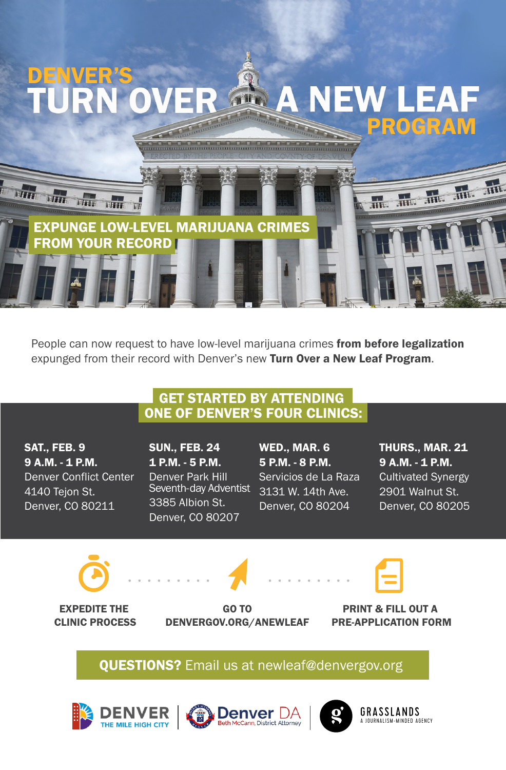

People can now request to have low-level marijuana crimes from before legalization expunged from their record with Denver's new Turn Over a New Leaf Program.

## GET STARTED BY ATTENDING ONE OF DENVER'S FOUR CLINICS:

SAT., FEB. 9 9 A.M. - 1 P.M. Denver Conflict Center 4140 Tejon St. Denver, CO 80211

SUN., FEB. 24 1 P.M. - 5 P.M. Denver Park Hill Seventh-day Adventist 3385 Albion St. Denver, CO 80207

WED., MAR. 6 5 P.M. - 8 P.M. Servicios de La Raza 3131 W. 14th Ave. Denver, CO 80204

THURS., MAR. 21 9 A.M. - 1 P.M. Cultivated Synergy 2901 Walnut St. Denver, CO 80205





EXPEDITE THE CLINIC PROCESS

GO TO DENVERGOV.ORG/ANEWLEAF

PRINT & FILL OUT A PRE-APPLICATION FORM

**QUESTIONS?** Email us at newleaf@denvergov.org









GRASSLANDS A JOURNALISM-MINDED AGENCY